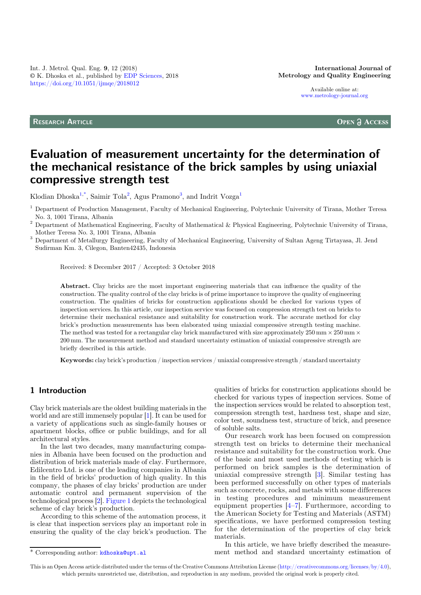Available online at: [www.metrology-journal.org](https://www.metrology-journal.org)

RESEARCH ARTICLE

**OPEN A ACCESS** 

# Evaluation of measurement uncertainty for the determination of the mechanical resistance of the brick samples by using uniaxial compressive strength test

Klodian Dhoska<sup>1,\*</sup>, Saimir Tola<sup>2</sup>, Agus Pramono<sup>3</sup>, and Indrit Vozga<sup>1</sup>

<sup>1</sup> Department of Production Management, Faculty of Mechanical Engineering, Polytechnic University of Tirana, Mother Teresa

No. 3, 1001 Tirana, Albania <sup>2</sup> Department of Mathematical Engineering, Faculty of Mathematical & Physical Engineering, Polytechnic University of Tirana,

<sup>3</sup> Department of Metallurgy Engineering, Faculty of Mechanical Engineering, University of Sultan Ageng Tirtayasa, Jl. Jend Sudirman Km. 3, Cilegon, Banten42435, Indonesia

Received: 8 December 2017 / Accepted: 3 October 2018

Abstract. Clay bricks are the most important engineering materials that can influence the quality of the construction. The quality control of the clay bricks is of prime importance to improve the quality of engineering construction. The qualities of bricks for construction applications should be checked for various types of inspection services. In this article, our inspection service was focused on compression strength test on bricks to determine their mechanical resistance and suitability for construction work. The accurate method for clay brick's production measurements has been elaborated using uniaxial compressive strength testing machine. The method was tested for a rectangular clay brick manufactured with size approximately  $250 \text{ mm} \times 250 \text{ mm} \times$ 200 mm. The measurement method and standard uncertainty estimation of uniaxial compressive strength are briefly described in this article.

Keywords: clay brick's production / inspection services / uniaxial compressive strength / standard uncertainty

## 1 Introduction

Clay brick materials are the oldest building materials in the world and are still immensely popular [[1\]](#page-4-0). It can be used for a variety of applications such as single-family houses or apartment blocks, office or public buildings, and for all architectural styles.

In the last two decades, many manufacturing companies in Albania have been focused on the production and distribution of brick materials made of clay. Furthermore, Edilcentro Ltd. is one of the leading companies in Albania in the field of bricks' production of high quality. In this company, the phases of clay bricks' production are under automatic control and permanent supervision of the technological process [\[2](#page-4-0)]. [Figure 1](#page-1-0) depicts the technological scheme of clay brick's production.

According to this scheme of the automation process, it is clear that inspection services play an important role in ensuring the quality of the clay brick's production. The

qualities of bricks for construction applications should be checked for various types of inspection services. Some of the inspection services would be related to absorption test, compression strength test, hardness test, shape and size, color test, soundness test, structure of brick, and presence of soluble salts.

Our research work has been focused on compression strength test on bricks to determine their mechanical resistance and suitability for the construction work. One of the basic and most used methods of testing which is performed on brick samples is the determination of uniaxial compressive strength [[3\]](#page-4-0). Similar testing has been performed successfully on other types of materials such as concrete, rocks, and metals with some differences in testing procedures and minimum measurement equipment properties [[4](#page-4-0)–[7](#page-4-0)]. Furthermore, according to the American Society for Testing and Materials (ASTM) specifications, we have performed compression testing for the determination of the properties of clay brick materials.

In this article, we have briefly described the measure- \* Corresponding author: [kdhoska@upt.al](mailto:kdhoska@upt.al) ment method and standard uncertainty estimation of

This is an Open Access article distributed under the terms of the Creative Commons Attribution License [\(http://creativecommons.org/licenses/by/4.0\)](http://creativecommons.org/licenses/by/4.0), which permits unrestricted use, distribution, and reproduction in any medium, provided the original work is properly cited.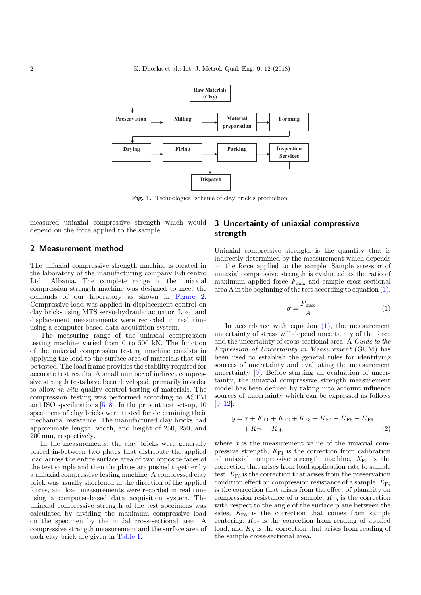<span id="page-1-0"></span>

Fig. 1. Technological scheme of clay brick's production.

measured uniaxial compressive strength which would depend on the force applied to the sample.

#### 2 Measurement method

The uniaxial compressive strength machine is located in the laboratory of the manufacturing company Edilcentro Ltd., Albania. The complete range of the uniaxial compression strength machine was designed to meet the demands of our laboratory as shown in [Figure 2](#page-2-0). Compressive load was applied in displacement control on clay bricks using MTS servo-hydraulic actuator. Load and displacement measurements were recorded in real time using a computer-based data acquisition system.

The measuring range of the uniaxial compression testing machine varied from 0 to 500 kN. The function of the uniaxial compression testing machine consists in applying the load to the surface area of materials that will be tested. The load frame provides the stability required for accurate test results. A small number of indirect compressive strength tests have been developed, primarily in order to allow in situ quality control testing of materials. The compression testing was performed according to ASTM and ISO specifications [\[5](#page-4-0)–[8\]](#page-4-0). In the present test set-up, 10 specimens of clay bricks were tested for determining their mechanical resistance. The manufactured clay bricks had approximate length, width, and height of 250, 250, and 200 mm, respectively.

In the measurements, the clay bricks were generally placed in-between two plates that distribute the applied load across the entire surface area of two opposite faces of the test sample and then the plates are pushed together by a uniaxial compressive testing machine. A compressed clay brick was usually shortened in the direction of the applied forces, and load measurements were recorded in real time using a computer-based data acquisition system. The uniaxial compressive strength of the test specimens was calculated by dividing the maximum compressive load on the specimen by the initial cross-sectional area. A compressive strength measurement and the surface area of each clay brick are given in [Table 1.](#page-2-0)

## 3 Uncertainty of uniaxial compressive strength

Uniaxial compressive strength is the quantity that is indirectly determined by the measurement which depends on the force applied to the sample. Sample stress  $\sigma$  of uniaxial compressive strength is evaluated as the ratio of maximum applied force  $F_{\text{max}}$  and sample cross-sectional area A in the beginning of the test according to equation (1).

$$
\sigma = \frac{F_{\text{max}}}{A}.\tag{1}
$$

In accordance with equation  $(1)$ , the measurement uncertainty of stress will depend uncertainty of the force and the uncertainty of cross-sectional area. A Guide to the Expression of Uncertainty in Measurement (GUM) has been used to establish the general rules for identifying sources of uncertainty and evaluating the measurement uncertainty [\[9](#page-4-0)]. Before starting an evaluation of uncertainty, the uniaxial compressive strength measurement model has been defined by taking into account influence sources of uncertainty which can be expressed as follows  $|9-12|$  $|9-12|$  $|9-12|$ :

$$
y = x + K_{F1} + K_{F2} + K_{F3} + K_{F4} + K_{F5} + K_{F6}
$$
  
+  $K_{F7} + K_A$ , (2)

where  $x$  is the measurement value of the uniaxial compressive strength,  $K_{F1}$  is the correction from calibration of uniaxial compressive strength machine,  $K_{F2}$  is the correction that arises from load application rate to sample test,  $K_{F3}$  is the correction that arises from the preservation condition effect on compression resistance of a sample,  $K_{\text{F4}}$ is the correction that arises from the effect of planarity on compression resistance of a sample,  $K_{\rm F5}$  is the correction with respect to the angle of the surface plane between the sides,  $K_{\text{F6}}$  is the correction that comes from sample centering,  $K_{\text{F7}}$  is the correction from reading of applied load, and  $K_A$  is the correction that arises from reading of the sample cross-sectional area.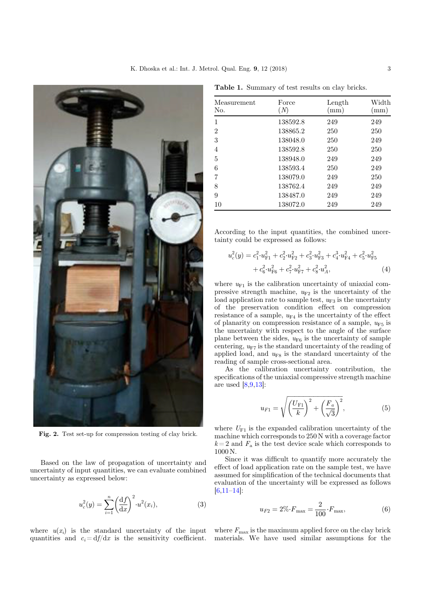<span id="page-2-0"></span>

Fig. 2. Test set-up for compression testing of clay brick.

Based on the law of propagation of uncertainty and uncertainty of input quantities, we can evaluate combined uncertainty as expressed below:

$$
u_c^2(y) = \sum_{i=1}^n \left(\frac{\mathrm{d}f}{\mathrm{d}x}\right)^2 \cdot u^2(x_i),\tag{3}
$$

where  $u(x_i)$  is the standard uncertainty of the input where  $F_{\text{max}}$  is the maximum applied force on the clay brick

| Measurement<br>No. | Force<br>(N) | Length<br>(mm) | Width<br>(mm) |
|--------------------|--------------|----------------|---------------|
| $\mathbf{1}$       | 138592.8     | 249            | 249           |
| $\overline{2}$     | 138865.2     | 250            | 250           |
| 3                  | 138048.0     | 250            | 249           |
| $\overline{4}$     | 138592.8     | 250            | 250           |
| 5                  | 138948.0     | 249            | 249           |
| 6                  | 138593.4     | 250            | 249           |
| 7                  | 138079.0     | 249            | 250           |
| 8                  | 138762.4     | 249            | 249           |
| 9                  | 138487.0     | 249            | 249           |
| 10                 | 138072.0     | 249            | 249           |

Table 1. Summary of test results on clay bricks.

According to the input quantities, the combined uncertainty could be expressed as follows:

$$
u_c^2(y) = c_1^2 \cdot u_{\text{F1}}^2 + c_2^2 \cdot u_{\text{F2}}^2 + c_3^2 \cdot u_{\text{F3}}^2 + c_4^3 \cdot u_{\text{F4}}^2 + c_5^2 \cdot u_{\text{F5}}^2
$$

$$
+ c_6^2 \cdot u_{\text{F6}}^2 + c_7^2 \cdot u_{\text{F7}}^2 + c_8^2 \cdot u_A^2, \tag{4}
$$

where  $u_{F1}$  is the calibration uncertainty of uniaxial compressive strength machine,  $u_{F2}$  is the uncertainty of the load application rate to sample test,  $u_{F3}$  is the uncertainty of the preservation condition effect on compression resistance of a sample,  $u_{F4}$  is the uncertainty of the effect of planarity on compression resistance of a sample,  $u_{\text{F5}}$  is the uncertainty with respect to the angle of the surface plane between the sides,  $u_{\text{F6}}$  is the uncertainty of sample centering,  $u_{F7}$  is the standard uncertainty of the reading of applied load, and  $u_{\text{F8}}$  is the standard uncertainty of the reading of sample cross-sectional area.

As the calibration uncertainty contribution, the specifications of the uniaxial compressive strength machine are used  $[8,9,13]$  $[8,9,13]$  $[8,9,13]$ :

$$
u_{F1} = \sqrt{\left(\frac{U_{F1}}{k}\right)^2 + \left(\frac{F_a}{\sqrt{3}}\right)^2},
$$
 (5)

where  $U_{\mathrm{F1}}$  is the expanded calibration uncertainty of the machine which corresponds to 250 N with a coverage factor  $k = 2$  and  $F_a$  is the test device scale which corresponds to 1000 N.

Since it was difficult to quantify more accurately the effect of load application rate on the sample test, we have assumed for simplification of the technical documents that evaluation of the uncertainty will be expressed as follows [\[6](#page-4-0),[11](#page-4-0)–[14\]](#page-4-0):

$$
u_{F2} = 2\% \cdot F_{\text{max}} = \frac{2}{100} \cdot F_{\text{max}},\tag{6}
$$

quantities and  $c_i = df/dx$  is the sensitivity coefficient. materials. We have used similar assumptions for the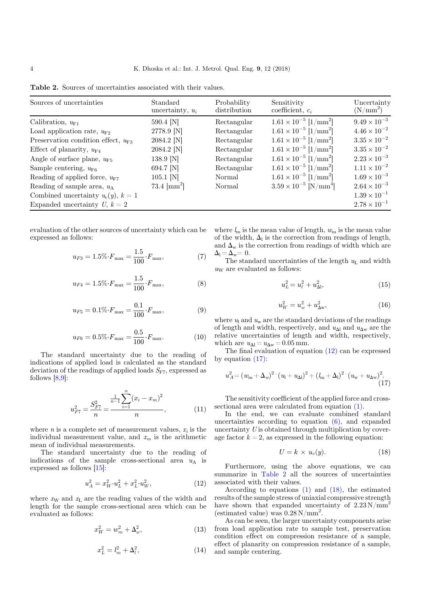| Sources of uncertainties                  | Standard<br>uncertainty, $u_i$ | Probability<br>distribution | Sensitivity<br>coefficient, $c_i$          | Uncertainty<br>$(N/mm^2)$ |
|-------------------------------------------|--------------------------------|-----------------------------|--------------------------------------------|---------------------------|
| Calibration, $u_{F1}$                     | 590.4 [N]                      | Rectangular                 | $1.61 \times 10^{-5}$ [1/mm <sup>2</sup> ] | $9.49 \times 10^{-3}$     |
| Load application rate, $u_{\mathrm{F2}}$  | 2778.9 [N]                     | Rectangular                 | $1.61 \times 10^{-5}$ [1/mm <sup>2</sup> ] | $4.46 \times 10^{-2}$     |
| Preservation condition effect, $u_{F3}$   | 2084.2 [N]                     | Rectangular                 | $1.61 \times 10^{-5}$ [1/mm <sup>2</sup> ] | $3.35 \times 10^{-2}$     |
| Effect of planarity, $u_{\text{F4}}$      | 2084.2 [N]                     | Rectangular                 | $1.61 \times 10^{-5}$ [1/mm <sup>2</sup> ] | $3.35 \times 10^{-2}$     |
| Angle of surface plane, $u_{F5}$          | 138.9 [N]                      | Rectangular                 | $1.61 \times 10^{-5}$ [1/mm <sup>2</sup> ] | $2.23 \times 10^{-3}$     |
| Sample centering, $u_{\text{F6}}$         | 694.7 [N]                      | Rectangular                 | $1.61 \times 10^{-5}$ [1/mm <sup>2</sup> ] | $1.11 \times 10^{-2}$     |
| Reading of applied force, $u_{\text{F7}}$ | $105.1$ [N]                    | Normal                      | $1.61 \times 10^{-5}$ [1/mm <sup>2</sup> ] | $1.69 \times 10^{-3}$     |
| Reading of sample area, $u_A$             | $73.4 \; [\text{mm}^2]$        | Normal                      | $3.59 \times 10^{-5}$ [N/mm <sup>4</sup> ] | $2.64 \times 10^{-3}$     |
| Combined uncertainty $u_c(y)$ , $k=1$     |                                |                             |                                            | $1.39 \times 10^{-1}$     |
| Expanded uncertainty U, $k = 2$           |                                |                             |                                            | $2.78 \times 10^{-1}$     |

Table 2. Sources of uncertainties associated with their values.

evaluation of the other sources of uncertainty which can be expressed as follows:

$$
u_{F3} = 1.5\% \cdot F_{\text{max}} = \frac{1.5}{100} \cdot F_{\text{max}},\tag{7}
$$

$$
u_{F4} = 1.5\% \cdot F_{\text{max}} = \frac{1.5}{100} \cdot F_{\text{max}},\tag{8}
$$

$$
u_{F5} = 0.1\% \cdot F_{\text{max}} = \frac{0.1}{100} \cdot F_{\text{max}},\tag{9}
$$

$$
u_{F6} = 0.5\% \cdot F_{\text{max}} = \frac{0.5}{100} \cdot F_{\text{max}}.\tag{10}
$$

The standard uncertainty due to the reading of indications of applied load is calculated as the standard deviation of the readings of applied loads  $S_{\text{F7}}$ , expressed as follows  $[8,9]$  $[8,9]$  $[8,9]$ :

$$
u_{F7}^2 = \frac{S_{F7}^2}{n} = \frac{\frac{1}{n-1} \sum_{i=1}^n (x_i - x_m)^2}{n},
$$
 (11)

where *n* is a complete set of measurement values,  $x_i$  is the individual measurement value, and  $x_m$  is the arithmetic mean of individual measurements.

The standard uncertainty due to the reading of indications of the sample cross-sectional area  $u_A$  is expressed as follows [\[15](#page-4-0)]:

$$
u_A^2 = x_W^2 \cdot u_L^2 + x_L^2 \cdot u_W^2,\tag{12}
$$

where  $x<sub>W</sub>$  and  $x<sub>L</sub>$  are the reading values of the width and length for the sample cross-sectional area which can be evaluated as follows:

$$
x_W^2 = w_m^2 + \Delta_w^2,\t\t(13)
$$

$$
x_L^2 = l_m^2 + \Delta_l^2,\tag{14}
$$

where  $l_m$  is the mean value of length,  $w_m$  is the mean value of the width,  $\Delta_l$  is the correction from readings of length, and  $\Delta_{\rm w}$  is the correction from readings of width which are  $\Delta_{\rm l} = \Delta_{\rm w} = 0.$ 

The standard uncertainties of the length  $u<sub>L</sub>$  and width  $u<sub>W</sub>$  are evaluated as follows:

$$
u_L^2 = u_l^2 + u_{\Delta l}^2,\tag{15}
$$

$$
u_W^2 = u_w^2 + u_{\Delta w}^2,\tag{16}
$$

where  $u_1$  and  $u_w$  are the standard deviations of the readings of length and width, respectively, and  $u_{\Delta l}$  and  $u_{\Delta w}$  are the relative uncertainties of length and width, respectively, which are  $u_{\Delta l} = u_{\Delta w} = 0.05$  mm.

The final evaluation of equation (12) can be expressed by equation  $(17)$ :

$$
u_A^2 = (w_m + \Delta_w)^2 \cdot (u_l + u_{\Delta l})^2 + (l_m + \Delta_l)^2 \cdot (u_w + u_{\Delta w})^2. \tag{17}
$$

The sensitivity coefficient of the applied force and crosssectional area were calculated from equation [\(1\)](#page-1-0).

In the end, we can evaluate combined standard uncertainties according to equation [\(6\),](#page-2-0) and expanded uncertainty U is obtained through multiplication by coverage factor  $k = 2$ , as expressed in the following equation:

$$
U = k \times u_c(y). \tag{18}
$$

Furthermore, using the above equations, we can summarize in Table 2 all the sources of uncertainties associated with their values.

According to equations [\(1\)](#page-1-0) and (18), the estimated results of the sample stress of uniaxial compressive strength have shown that expanded uncertainty of  $2.23 \text{ N/mm}^2$ (estimated value) was  $0.28 \text{ N/mm}^2$ .

As can be seen, the larger uncertainty components arise from load application rate to sample test, preservation condition effect on compression resistance of a sample, effect of planarity on compression resistance of a sample, and sample centering.